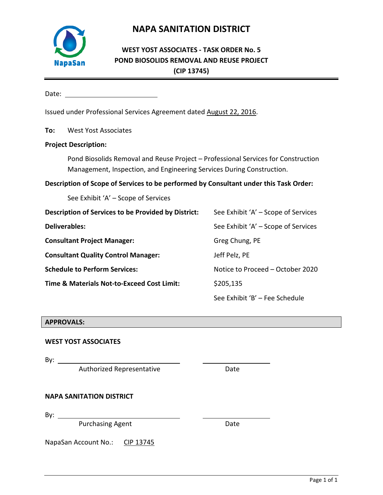Page 1 of 1

# **NAPA SANITATION DISTRICT**

## **WEST YOST ASSOCIATES - TASK ORDER No. 5 POND BIOSOLIDS REMOVAL AND REUSE PROJECT (CIP 13745)**

Date: when the contract of the contract of the contract of the contract of the contract of the contract of the contract of the contract of the contract of the contract of the contract of the contract of the contract of the

Issued under Professional Services Agreement dated August 22, 2016.

**To:** West Yost Associates

#### **Project Description:**

**NapaSan** 

Pond Biosolids Removal and Reuse Project – Professional Services for Construction Management, Inspection, and Engineering Services During Construction.

**Description of Scope of Services to be performed by Consultant under this Task Order:**

See Exhibit 'A' – Scope of Services

| Description of Services to be Provided by District: | See Exhibit 'A' – Scope of Services |
|-----------------------------------------------------|-------------------------------------|
| <b>Deliverables:</b>                                | See Exhibit 'A' – Scope of Services |
| <b>Consultant Project Manager:</b>                  | Greg Chung, PE                      |
| <b>Consultant Quality Control Manager:</b>          | Jeff Pelz, PE                       |
| <b>Schedule to Perform Services:</b>                | Notice to Proceed - October 2020    |
| Time & Materials Not-to-Exceed Cost Limit:          | \$205,135                           |
|                                                     | See Exhibit 'B' - Fee Schedule      |

#### **APPROVALS:**

#### **WEST YOST ASSOCIATES**

By:  $\_\_\_\_\_\_\_\_\_\_\_\_\_\_\_\_\_\_\_\_\_\_\_\_\_\_\_\_\_\_\_$ 

Authorized Representative **Example 2018** Date

#### **NAPA SANITATION DISTRICT**

By:  $\_\_$ 

Purchasing Agent Date

NapaSan Account No.: CIP 13745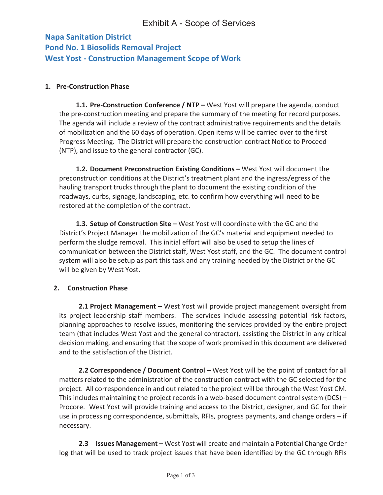## **Napa Sanitation District Pond No. 1 Biosolids Removal Project West Yost - Construction Management Scope of Work**

### **1. Pre-Construction Phase**

**1.1. Pre-Construction Conference / NTP –** West Yost will prepare the agenda, conduct the pre-construction meeting and prepare the summary of the meeting for record purposes. The agenda will include a review of the contract administrative requirements and the details of mobilization and the 60 days of operation. Open items will be carried over to the first Progress Meeting. The District will prepare the construction contract Notice to Proceed (NTP), and issue to the general contractor (GC).

**1.2. Document Preconstruction Existing Conditions –** West Yost will document the preconstruction conditions at the District's treatment plant and the ingress/egress of the hauling transport trucks through the plant to document the existing condition of the roadways, curbs, signage, landscaping, etc. to confirm how everything will need to be restored at the completion of the contract.

**1.3. Setup of Construction Site –** West Yost will coordinate with the GC and the District's Project Manager the mobilization of the GC's material and equipment needed to perform the sludge removal. This initial effort will also be used to setup the lines of communication between the District staff, West Yost staff, and the GC. The document control system will also be setup as part this task and any training needed by the District or the GC will be given by West Yost.

### **2. Construction Phase**

**2.1 Project Management –** West Yost will provide project management oversight from its project leadership staff members. The services include assessing potential risk factors, planning approaches to resolve issues, monitoring the services provided by the entire project team (that includes West Yost and the general contractor), assisting the District in any critical decision making, and ensuring that the scope of work promised in this document are delivered and to the satisfaction of the District.

**2.2 Correspondence / Document Control –** West Yost will be the point of contact for all matters related to the administration of the construction contract with the GC selected for the project. All correspondence in and out related to the project will be through the West Yost CM. This includes maintaining the project records in a web-based document control system (DCS) – Procore. West Yost will provide training and access to the District, designer, and GC for their use in processing correspondence, submittals, RFIs, progress payments, and change orders – if necessary.

**2.3 Issues Management –** West Yost will create and maintain a Potential Change Order log that will be used to track project issues that have been identified by the GC through RFIs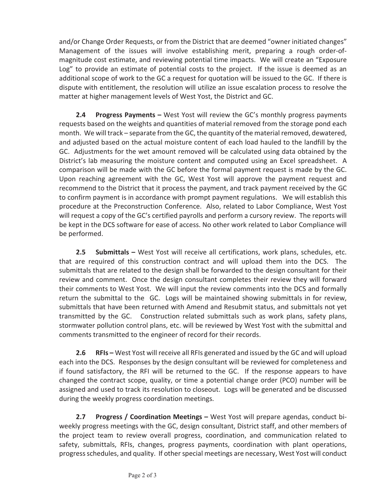and/or Change Order Requests, or from the District that are deemed "owner initiated changes" Management of the issues will involve establishing merit, preparing a rough order-ofmagnitude cost estimate, and reviewing potential time impacts. We will create an "Exposure Log" to provide an estimate of potential costs to the project. If the issue is deemed as an additional scope of work to the GC a request for quotation will be issued to the GC. If there is dispute with entitlement, the resolution will utilize an issue escalation process to resolve the matter at higher management levels of West Yost, the District and GC.

**2.4 Progress Payments –** West Yost will review the GC's monthly progress payments requests based on the weights and quantities of material removed from the storage pond each month. We will track – separate from the GC, the quantity of the material removed, dewatered, and adjusted based on the actual moisture content of each load hauled to the landfill by the GC. Adjustments for the wet amount removed will be calculated using data obtained by the District's lab measuring the moisture content and computed using an Excel spreadsheet. A comparison will be made with the GC before the formal payment request is made by the GC. Upon reaching agreement with the GC, West Yost will approve the payment request and recommend to the District that it process the payment, and track payment received by the GC to confirm payment is in accordance with prompt payment regulations. We will establish this procedure at the Preconstruction Conference. Also, related to Labor Compliance, West Yost will request a copy of the GC's certified payrolls and perform a cursory review. The reports will be kept in the DCS software for ease of access. No other work related to Labor Compliance will be performed.

**2.5 Submittals –** West Yost will receive all certifications, work plans, schedules, etc. that are required of this construction contract and will upload them into the DCS. The submittals that are related to the design shall be forwarded to the design consultant for their review and comment. Once the design consultant completes their review they will forward their comments to West Yost. We will input the review comments into the DCS and formally return the submittal to the GC. Logs will be maintained showing submittals in for review, submittals that have been returned with Amend and Resubmit status, and submittals not yet transmitted by the GC. Construction related submittals such as work plans, safety plans, stormwater pollution control plans, etc. will be reviewed by West Yost with the submittal and comments transmitted to the engineer of record for their records.

**2.6 RFIs –** West Yost will receive all RFIs generated and issued by the GC and will upload each into the DCS. Responses by the design consultant will be reviewed for completeness and if found satisfactory, the RFI will be returned to the GC. If the response appears to have changed the contract scope, quality, or time a potential change order (PCO) number will be assigned and used to track its resolution to closeout. Logs will be generated and be discussed during the weekly progress coordination meetings.

**2.7 Progress / Coordination Meetings –** West Yost will prepare agendas, conduct biweekly progress meetings with the GC, design consultant, District staff, and other members of the project team to review overall progress, coordination, and communication related to safety, submittals, RFIs, changes, progress payments, coordination with plant operations, progress schedules, and quality. If other special meetings are necessary, West Yost will conduct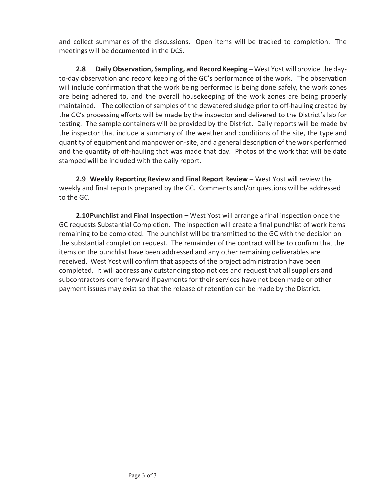and collect summaries of the discussions. Open items will be tracked to completion. The meetings will be documented in the DCS.

**2.8 Daily Observation, Sampling, and Record Keeping –** West Yost will provide the dayto-day observation and record keeping of the GC's performance of the work. The observation will include confirmation that the work being performed is being done safely, the work zones are being adhered to, and the overall housekeeping of the work zones are being properly maintained. The collection of samples of the dewatered sludge prior to off-hauling created by the GC's processing efforts will be made by the inspector and delivered to the District's lab for testing. The sample containers will be provided by the District. Daily reports will be made by the inspector that include a summary of the weather and conditions of the site, the type and quantity of equipment and manpower on-site, and a general description of the work performed and the quantity of off-hauling that was made that day. Photos of the work that will be date stamped will be included with the daily report.

**2.9 Weekly Reporting Review and Final Report Review –** West Yost will review the weekly and final reports prepared by the GC. Comments and/or questions will be addressed to the GC.

**2.10Punchlist and Final Inspection –** West Yost will arrange a final inspection once the GC requests Substantial Completion. The inspection will create a final punchlist of work items remaining to be completed. The punchlist will be transmitted to the GC with the decision on the substantial completion request. The remainder of the contract will be to confirm that the items on the punchlist have been addressed and any other remaining deliverables are received. West Yost will confirm that aspects of the project administration have been completed. It will address any outstanding stop notices and request that all suppliers and subcontractors come forward if payments for their services have not been made or other payment issues may exist so that the release of retention can be made by the District.